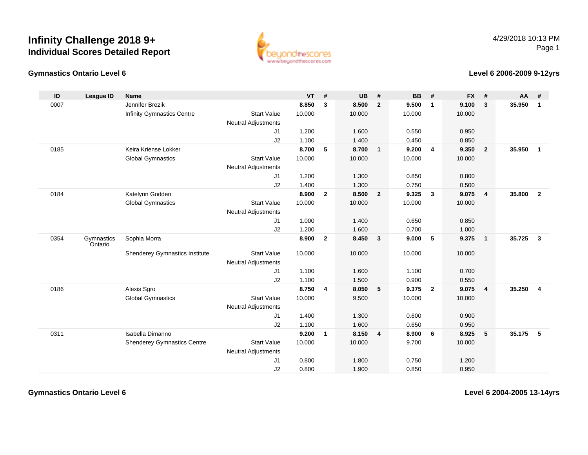

### **Gymnastics Ontario Level 6**

### **Level 6 2006-2009 9-12yrs**

| ID   | League ID             | <b>Name</b>                        |                            | <b>VT</b> | #              | <b>UB</b> | #                       | <b>BB</b> | #                       | <b>FX</b> | #               | AA     | #                       |
|------|-----------------------|------------------------------------|----------------------------|-----------|----------------|-----------|-------------------------|-----------|-------------------------|-----------|-----------------|--------|-------------------------|
| 0007 |                       | Jennifer Brezik                    |                            | 8.850     | $\mathbf{3}$   | 8.500     | $\overline{2}$          | 9.500     | $\mathbf{1}$            | 9.100     | 3               | 35.950 | $\mathbf{1}$            |
|      |                       | Infinity Gymnastics Centre         | <b>Start Value</b>         | 10.000    |                | 10.000    |                         | 10.000    |                         | 10.000    |                 |        |                         |
|      |                       |                                    | <b>Neutral Adjustments</b> |           |                |           |                         |           |                         |           |                 |        |                         |
|      |                       |                                    | J1                         | 1.200     |                | 1.600     |                         | 0.550     |                         | 0.950     |                 |        |                         |
|      |                       |                                    | J2                         | 1.100     |                | 1.400     |                         | 0.450     |                         | 0.850     |                 |        |                         |
| 0185 |                       | Keira Kriense Lokker               |                            | 8.700     | 5              | 8.700     | $\overline{\mathbf{1}}$ | 9.200     | $\overline{\mathbf{4}}$ | 9.350     | $\overline{2}$  | 35.950 | $\overline{\mathbf{1}}$ |
|      |                       | <b>Global Gymnastics</b>           | <b>Start Value</b>         | 10.000    |                | 10.000    |                         | 10.000    |                         | 10.000    |                 |        |                         |
|      |                       |                                    | <b>Neutral Adjustments</b> |           |                |           |                         |           |                         |           |                 |        |                         |
|      |                       |                                    | J <sub>1</sub>             | 1.200     |                | 1.300     |                         | 0.850     |                         | 0.800     |                 |        |                         |
|      |                       |                                    | J2                         | 1.400     |                | 1.300     |                         | 0.750     |                         | 0.500     |                 |        |                         |
| 0184 |                       | Katelynn Godden                    |                            | 8.900     | $\mathbf{2}$   | 8.500     | $\overline{\mathbf{2}}$ | 9.325     | $\mathbf{3}$            | 9.075     | 4               | 35.800 | $\overline{2}$          |
|      |                       | <b>Global Gymnastics</b>           | <b>Start Value</b>         | 10.000    |                | 10.000    |                         | 10.000    |                         | 10.000    |                 |        |                         |
|      |                       |                                    | <b>Neutral Adjustments</b> |           |                |           |                         |           |                         |           |                 |        |                         |
|      |                       |                                    | J <sub>1</sub>             | 1.000     |                | 1.400     |                         | 0.650     |                         | 0.850     |                 |        |                         |
|      |                       |                                    | J2                         | 1.200     |                | 1.600     |                         | 0.700     |                         | 1.000     |                 |        |                         |
| 0354 | Gymnastics<br>Ontario | Sophia Morra                       |                            | 8.900     | $\overline{2}$ | 8.450     | $\overline{\mathbf{3}}$ | 9.000     | 5                       | 9.375     | 1               | 35.725 | $\overline{\mathbf{3}}$ |
|      |                       | Shenderey Gymnastics Institute     | <b>Start Value</b>         | 10.000    |                | 10.000    |                         | 10.000    |                         | 10.000    |                 |        |                         |
|      |                       |                                    | <b>Neutral Adjustments</b> |           |                |           |                         |           |                         |           |                 |        |                         |
|      |                       |                                    | J <sub>1</sub>             | 1.100     |                | 1.600     |                         | 1.100     |                         | 0.700     |                 |        |                         |
|      |                       |                                    | J2                         | 1.100     |                | 1.500     |                         | 0.900     |                         | 0.550     |                 |        |                         |
| 0186 |                       | Alexis Sgro                        |                            | 8.750     | 4              | 8.050     | 5                       | 9.375     | $\overline{\mathbf{2}}$ | 9.075     | 4               | 35.250 | $\overline{4}$          |
|      |                       | <b>Global Gymnastics</b>           | <b>Start Value</b>         | 10.000    |                | 9.500     |                         | 10.000    |                         | 10.000    |                 |        |                         |
|      |                       |                                    | <b>Neutral Adjustments</b> |           |                |           |                         |           |                         |           |                 |        |                         |
|      |                       |                                    | J <sub>1</sub>             | 1.400     |                | 1.300     |                         | 0.600     |                         | 0.900     |                 |        |                         |
|      |                       |                                    | J2                         | 1.100     |                | 1.600     |                         | 0.650     |                         | 0.950     |                 |        |                         |
| 0311 |                       | Isabella Dimanno                   |                            | 9.200     | $\mathbf{1}$   | 8.150     | $\overline{4}$          | 8.900     | 6                       | 8.925     | $5\phantom{.0}$ | 35.175 | 5                       |
|      |                       | <b>Shenderey Gymnastics Centre</b> | <b>Start Value</b>         | 10.000    |                | 10.000    |                         | 9.700     |                         | 10.000    |                 |        |                         |
|      |                       |                                    | <b>Neutral Adjustments</b> |           |                |           |                         |           |                         |           |                 |        |                         |
|      |                       |                                    | J <sub>1</sub>             | 0.800     |                | 1.800     |                         | 0.750     |                         | 1.200     |                 |        |                         |
|      |                       |                                    | J2                         | 0.800     |                | 1.900     |                         | 0.850     |                         | 0.950     |                 |        |                         |

**Gymnastics Ontario Level 6**

**Level 6 2004-2005 13-14yrs**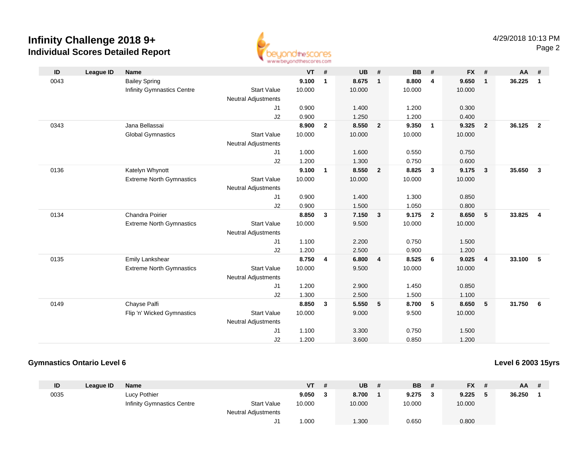

| ID   | League ID | <b>Name</b>                     |                            | <b>VT</b> | #            | <b>UB</b> | #              | <b>BB</b> | #              | <b>FX</b> | #                       | $AA$ # |                         |
|------|-----------|---------------------------------|----------------------------|-----------|--------------|-----------|----------------|-----------|----------------|-----------|-------------------------|--------|-------------------------|
| 0043 |           | <b>Bailey Spring</b>            |                            | 9.100     | $\mathbf{1}$ | 8.675     | $\mathbf{1}$   | 8.800     | $\overline{4}$ | 9.650     | $\mathbf{1}$            | 36.225 | $\mathbf{1}$            |
|      |           | Infinity Gymnastics Centre      | <b>Start Value</b>         | 10.000    |              | 10.000    |                | 10.000    |                | 10.000    |                         |        |                         |
|      |           |                                 | <b>Neutral Adjustments</b> |           |              |           |                |           |                |           |                         |        |                         |
|      |           |                                 | J1                         | 0.900     |              | 1.400     |                | 1.200     |                | 0.300     |                         |        |                         |
|      |           |                                 | J2                         | 0.900     |              | 1.250     |                | 1.200     |                | 0.400     |                         |        |                         |
| 0343 |           | Jana Bellassai                  |                            | 8.900     | $\mathbf{2}$ | 8.550     | $\overline{2}$ | 9.350     | $\overline{1}$ | 9.325     | $\overline{2}$          | 36.125 | $\overline{2}$          |
|      |           | <b>Global Gymnastics</b>        | <b>Start Value</b>         | 10.000    |              | 10.000    |                | 10.000    |                | 10.000    |                         |        |                         |
|      |           |                                 | <b>Neutral Adjustments</b> |           |              |           |                |           |                |           |                         |        |                         |
|      |           |                                 | J1                         | 1.000     |              | 1.600     |                | 0.550     |                | 0.750     |                         |        |                         |
|      |           |                                 | J2                         | 1.200     |              | 1.300     |                | 0.750     |                | 0.600     |                         |        |                         |
| 0136 |           | Katelyn Whynott                 |                            | 9.100     | $\mathbf{1}$ | 8.550     | $\overline{2}$ | 8.825     | $\mathbf{3}$   | 9.175     | $\overline{\mathbf{3}}$ | 35.650 | $\mathbf{3}$            |
|      |           | <b>Extreme North Gymnastics</b> | <b>Start Value</b>         | 10.000    |              | 10.000    |                | 10.000    |                | 10.000    |                         |        |                         |
|      |           |                                 | Neutral Adjustments        |           |              |           |                |           |                |           |                         |        |                         |
|      |           |                                 | J1                         | 0.900     |              | 1.400     |                | 1.300     |                | 0.850     |                         |        |                         |
|      |           |                                 | J2                         | 0.900     |              | 1.500     |                | 1.050     |                | 0.800     |                         |        |                         |
| 0134 |           | <b>Chandra Poirier</b>          |                            | 8.850     | 3            | 7.150     | $\mathbf{3}$   | 9.175     | $\overline{2}$ | 8.650     | $5\phantom{.0}$         | 33.825 | $\overline{\mathbf{4}}$ |
|      |           | <b>Extreme North Gymnastics</b> | <b>Start Value</b>         | 10.000    |              | 9.500     |                | 10.000    |                | 10.000    |                         |        |                         |
|      |           |                                 | <b>Neutral Adjustments</b> |           |              |           |                |           |                |           |                         |        |                         |
|      |           |                                 | J1                         | 1.100     |              | 2.200     |                | 0.750     |                | 1.500     |                         |        |                         |
|      |           |                                 | J2                         | 1.200     |              | 2.500     |                | 0.900     |                | 1.200     |                         |        |                         |
| 0135 |           | Emily Lankshear                 |                            | 8.750     | 4            | 6.800     | 4              | 8.525     | 6              | 9.025     | $\overline{4}$          | 33.100 | 5                       |
|      |           | <b>Extreme North Gymnastics</b> | <b>Start Value</b>         | 10.000    |              | 9.500     |                | 10.000    |                | 10.000    |                         |        |                         |
|      |           |                                 | <b>Neutral Adjustments</b> |           |              |           |                |           |                |           |                         |        |                         |
|      |           |                                 | J1                         | 1.200     |              | 2.900     |                | 1.450     |                | 0.850     |                         |        |                         |
|      |           |                                 | J2                         | 1.300     |              | 2.500     |                | 1.500     |                | 1.100     |                         |        |                         |
| 0149 |           | Chayse Palfi                    |                            | 8.850     | 3            | 5.550     | 5              | 8.700     | 5              | 8.650     | 5                       | 31.750 | 6                       |
|      |           | Flip 'n' Wicked Gymnastics      | <b>Start Value</b>         | 10.000    |              | 9.000     |                | 9.500     |                | 10.000    |                         |        |                         |
|      |           |                                 | <b>Neutral Adjustments</b> |           |              |           |                |           |                |           |                         |        |                         |
|      |           |                                 | J <sub>1</sub>             | 1.100     |              | 3.300     |                | 0.750     |                | 1.500     |                         |        |                         |
|      |           |                                 | J2                         | 1.200     |              | 3.600     |                | 0.850     |                | 1.200     |                         |        |                         |

## **Gymnastics Ontario Level 6**

### **Level 6 2003 15yrs**

| ID   | League ID | Name                              |                            | VT     | <b>UB</b> | <b>BB</b> |   | <b>FX</b> | AA     | $\overline{t}$ |
|------|-----------|-----------------------------------|----------------------------|--------|-----------|-----------|---|-----------|--------|----------------|
| 0035 |           | Lucy Pothier                      |                            | 9.050  | 8.700     | 9.275     | ີ | 9.225     | 36.250 |                |
|      |           | <b>Infinity Gymnastics Centre</b> | <b>Start Value</b>         | 10.000 | 10.000    | 10.000    |   | 10.000    |        |                |
|      |           |                                   | <b>Neutral Adjustments</b> |        |           |           |   |           |        |                |
|      |           |                                   |                            | .000   | 1.300     | 0.650     |   | 0.800     |        |                |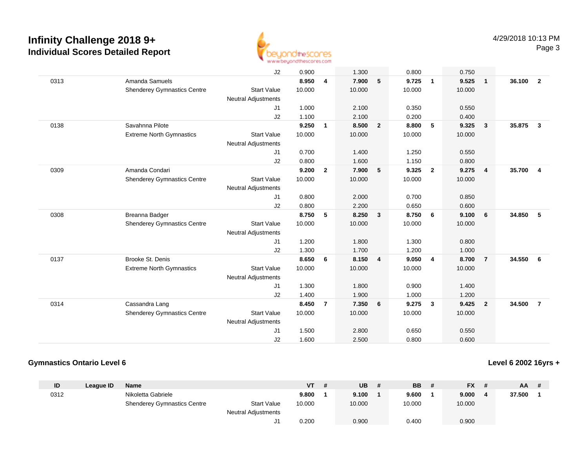

|      |                                    | J2                         | 0.900  |                | 1.300  |                         | 0.800  |                         | 0.750  |                |        |                |
|------|------------------------------------|----------------------------|--------|----------------|--------|-------------------------|--------|-------------------------|--------|----------------|--------|----------------|
| 0313 | Amanda Samuels                     |                            | 8.950  | 4              | 7.900  | 5                       | 9.725  | $\overline{1}$          | 9.525  | $\overline{1}$ | 36.100 | $\overline{2}$ |
|      | <b>Shenderey Gymnastics Centre</b> | <b>Start Value</b>         | 10.000 |                | 10.000 |                         | 10.000 |                         | 10.000 |                |        |                |
|      |                                    | <b>Neutral Adjustments</b> |        |                |        |                         |        |                         |        |                |        |                |
|      |                                    | J1                         | 1.000  |                | 2.100  |                         | 0.350  |                         | 0.550  |                |        |                |
|      |                                    | J2                         | 1.100  |                | 2.100  |                         | 0.200  |                         | 0.400  |                |        |                |
| 0138 | Savahnna Pilote                    |                            | 9.250  | $\mathbf{1}$   | 8.500  | $\overline{2}$          | 8.800  | 5                       | 9.325  | $\mathbf{3}$   | 35.875 | $\mathbf{3}$   |
|      | <b>Extreme North Gymnastics</b>    | <b>Start Value</b>         | 10.000 |                | 10.000 |                         | 10.000 |                         | 10.000 |                |        |                |
|      |                                    | Neutral Adjustments        |        |                |        |                         |        |                         |        |                |        |                |
|      |                                    | J1                         | 0.700  |                | 1.400  |                         | 1.250  |                         | 0.550  |                |        |                |
|      |                                    | J2                         | 0.800  |                | 1.600  |                         | 1.150  |                         | 0.800  |                |        |                |
| 0309 | Amanda Condari                     |                            | 9.200  | $\overline{2}$ | 7.900  | 5                       | 9.325  | $\overline{2}$          | 9.275  | $\overline{4}$ | 35.700 | $\overline{4}$ |
|      | <b>Shenderey Gymnastics Centre</b> | <b>Start Value</b>         | 10.000 |                | 10.000 |                         | 10.000 |                         | 10.000 |                |        |                |
|      |                                    | <b>Neutral Adjustments</b> |        |                |        |                         |        |                         |        |                |        |                |
|      |                                    | J1                         | 0.800  |                | 2.000  |                         | 0.700  |                         | 0.850  |                |        |                |
|      |                                    | J2                         | 0.800  |                | 2.200  |                         | 0.650  |                         | 0.600  |                |        |                |
| 0308 | Breanna Badger                     |                            | 8.750  | 5              | 8.250  | $\overline{\mathbf{3}}$ | 8.750  | 6                       | 9.100  | 6              | 34.850 | 5              |
|      | <b>Shenderey Gymnastics Centre</b> | <b>Start Value</b>         | 10.000 |                | 10.000 |                         | 10.000 |                         | 10.000 |                |        |                |
|      |                                    | <b>Neutral Adjustments</b> |        |                |        |                         |        |                         |        |                |        |                |
|      |                                    | J1                         | 1.200  |                | 1.800  |                         | 1.300  |                         | 0.800  |                |        |                |
|      |                                    | J2                         | 1.300  |                | 1.700  |                         | 1.200  |                         | 1.000  |                |        |                |
| 0137 | Brooke St. Denis                   |                            | 8.650  | 6              | 8.150  | $\overline{4}$          | 9.050  | $\overline{4}$          | 8.700  | $\overline{7}$ | 34.550 | 6              |
|      | <b>Extreme North Gymnastics</b>    | <b>Start Value</b>         | 10.000 |                | 10.000 |                         | 10.000 |                         | 10.000 |                |        |                |
|      |                                    | Neutral Adjustments        |        |                |        |                         |        |                         |        |                |        |                |
|      |                                    | J1                         | 1.300  |                | 1.800  |                         | 0.900  |                         | 1.400  |                |        |                |
|      |                                    | J2                         | 1.400  |                | 1.900  |                         | 1.000  |                         | 1.200  |                |        |                |
| 0314 | Cassandra Lang                     |                            | 8.450  | $\overline{7}$ | 7.350  | 6                       | 9.275  | $\overline{\mathbf{3}}$ | 9.425  | $\overline{2}$ | 34.500 | $\overline{7}$ |
|      | <b>Shenderey Gymnastics Centre</b> | <b>Start Value</b>         | 10.000 |                | 10.000 |                         | 10.000 |                         | 10.000 |                |        |                |
|      |                                    | Neutral Adjustments        |        |                |        |                         |        |                         |        |                |        |                |
|      |                                    | J1                         | 1.500  |                | 2.800  |                         | 0.650  |                         | 0.550  |                |        |                |
|      |                                    | J2                         | 1.600  |                | 2.500  |                         | 0.800  |                         | 0.600  |                |        |                |
|      |                                    |                            |        |                |        |                         |        |                         |        |                |        |                |

## **Gymnastics Ontario Level 6**

## **Level 6 2002 16yrs +**

| ID   | League ID | <b>Name</b>                        |                            | <b>VT</b> | UB     | <b>BB</b> | <b>FX</b><br>- # | AA.    | -# |
|------|-----------|------------------------------------|----------------------------|-----------|--------|-----------|------------------|--------|----|
| 0312 |           | Nikoletta Gabriele                 |                            | 9.800     | 9.100  | 9.600     | 9.000            | 37.500 |    |
|      |           | <b>Shenderey Gymnastics Centre</b> | <b>Start Value</b>         | 10.000    | 10.000 | 10.000    | 10.000           |        |    |
|      |           |                                    | <b>Neutral Adjustments</b> |           |        |           |                  |        |    |
|      |           |                                    |                            | 0.200     | 0.900  | 0.400     | 0.900            |        |    |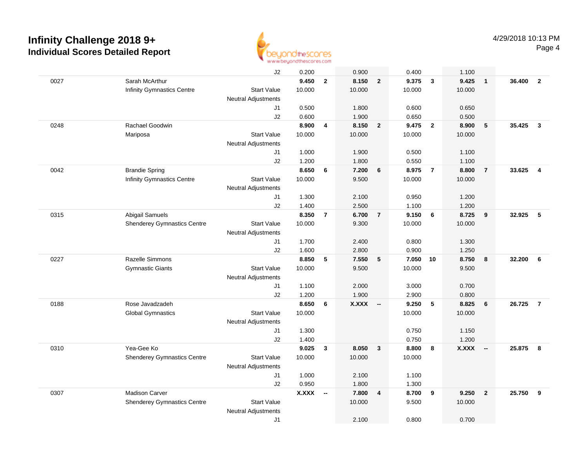

|      |                                    | J2                         | 0.200        |                          | 0.900        |                         | 0.400    |                | 1.100        |                          |        |                         |
|------|------------------------------------|----------------------------|--------------|--------------------------|--------------|-------------------------|----------|----------------|--------------|--------------------------|--------|-------------------------|
| 0027 | Sarah McArthur                     |                            | 9.450        | $\overline{2}$           | 8.150        | $\overline{2}$          | 9.375    | $\overline{3}$ | 9.425        | $\overline{1}$           | 36.400 | $\overline{\mathbf{2}}$ |
|      | <b>Infinity Gymnastics Centre</b>  | <b>Start Value</b>         | 10.000       |                          | 10.000       |                         | 10.000   |                | 10.000       |                          |        |                         |
|      |                                    | <b>Neutral Adjustments</b> |              |                          |              |                         |          |                |              |                          |        |                         |
|      |                                    | J1                         | 0.500        |                          | 1.800        |                         | 0.600    |                | 0.650        |                          |        |                         |
|      |                                    | J2                         | 0.600        |                          | 1.900        |                         | 0.650    |                | 0.500        |                          |        |                         |
| 0248 | Rachael Goodwin                    |                            | 8.900        | 4                        | 8.150        | $\overline{2}$          | 9.475    | $\overline{2}$ | 8.900        | 5                        | 35.425 | $\mathbf{3}$            |
|      | Mariposa                           | <b>Start Value</b>         | 10.000       |                          | 10.000       |                         | 10.000   |                | 10.000       |                          |        |                         |
|      |                                    | Neutral Adjustments        |              |                          |              |                         |          |                |              |                          |        |                         |
|      |                                    | J1                         | 1.000        |                          | 1.900        |                         | 0.500    |                | 1.100        |                          |        |                         |
|      |                                    | J2                         | 1.200        |                          | 1.800        |                         | 0.550    |                | 1.100        |                          |        |                         |
| 0042 | <b>Brandie Spring</b>              |                            | 8.650        | 6                        | 7.200        | $6\phantom{1}6$         | 8.975    | $\overline{7}$ | 8.800        | $\overline{7}$           | 33.625 | $\overline{\mathbf{4}}$ |
|      | <b>Infinity Gymnastics Centre</b>  | <b>Start Value</b>         | 10.000       |                          | 9.500        |                         | 10.000   |                | 10.000       |                          |        |                         |
|      |                                    | <b>Neutral Adjustments</b> |              |                          |              |                         |          |                |              |                          |        |                         |
|      |                                    | J1                         | 1.300        |                          | 2.100        |                         | 0.950    |                | 1.200        |                          |        |                         |
|      |                                    | J2                         | 1.400        |                          | 2.500        |                         | 1.100    |                | 1.200        |                          |        |                         |
| 0315 | Abigail Samuels                    |                            | 8.350        | $\overline{7}$           | 6.700        | $\overline{7}$          | 9.150    | 6              | 8.725        | 9                        | 32.925 | 5                       |
|      | <b>Shenderey Gymnastics Centre</b> | <b>Start Value</b>         | 10.000       |                          | 9.300        |                         | 10.000   |                | 10.000       |                          |        |                         |
|      |                                    | <b>Neutral Adjustments</b> |              |                          |              |                         |          |                |              |                          |        |                         |
|      |                                    | J1                         | 1.700        |                          | 2.400        |                         | 0.800    |                | 1.300        |                          |        |                         |
|      |                                    | J2                         | 1.600        |                          | 2.800        |                         | 0.900    |                | 1.250        |                          |        |                         |
| 0227 | Razelle Simmons                    |                            | 8.850        | 5                        | 7.550        | $5\phantom{.0}$         | 7.050 10 |                | 8.750        | 8                        | 32.200 | 6                       |
|      | <b>Gymnastic Giants</b>            | <b>Start Value</b>         | 10.000       |                          | 9.500        |                         | 10.000   |                | 9.500        |                          |        |                         |
|      |                                    | <b>Neutral Adjustments</b> |              |                          |              |                         |          |                |              |                          |        |                         |
|      |                                    | J1                         | 1.100        |                          | 2.000        |                         | 3.000    |                | 0.700        |                          |        |                         |
|      |                                    | J2                         | 1.200        |                          | 1.900        |                         | 2.900    |                | 0.800        |                          |        |                         |
| 0188 | Rose Javadzadeh                    |                            | 8.650        | 6                        | <b>X.XXX</b> | $\sim$                  | 9.250    | $-5$           | 8.825        | 6                        | 26.725 | $\overline{7}$          |
|      | <b>Global Gymnastics</b>           | <b>Start Value</b>         | 10.000       |                          |              |                         | 10.000   |                | 10.000       |                          |        |                         |
|      |                                    | <b>Neutral Adjustments</b> |              |                          |              |                         |          |                |              |                          |        |                         |
|      |                                    | J1                         | 1.300        |                          |              |                         | 0.750    |                | 1.150        |                          |        |                         |
|      |                                    | J2                         | 1.400        |                          |              |                         | 0.750    |                | 1.200        |                          |        |                         |
| 0310 | Yea-Gee Ko                         |                            | 9.025        | $\mathbf{3}$             | 8.050        | $\overline{\mathbf{3}}$ | 8.800    | 8              | <b>X.XXX</b> | $\overline{\phantom{a}}$ | 25.875 | - 8                     |
|      | <b>Shenderey Gymnastics Centre</b> | <b>Start Value</b>         | 10.000       |                          | 10.000       |                         | 10.000   |                |              |                          |        |                         |
|      |                                    | <b>Neutral Adjustments</b> |              |                          |              |                         |          |                |              |                          |        |                         |
|      |                                    | J1                         | 1.000        |                          | 2.100        |                         | 1.100    |                |              |                          |        |                         |
|      |                                    | J2                         | 0.950        |                          | 1.800        |                         | 1.300    |                |              |                          |        |                         |
| 0307 | <b>Madison Carver</b>              |                            | <b>X.XXX</b> | $\overline{\phantom{a}}$ | 7.800        | $\overline{\mathbf{4}}$ | 8.700    | 9              | 9.250        | $\overline{2}$           | 25.750 | 9                       |
|      | <b>Shenderey Gymnastics Centre</b> | <b>Start Value</b>         |              |                          | 10.000       |                         | 9.500    |                | 10.000       |                          |        |                         |
|      |                                    | <b>Neutral Adjustments</b> |              |                          |              |                         |          |                |              |                          |        |                         |
|      |                                    | J1                         |              |                          | 2.100        |                         | 0.800    |                | 0.700        |                          |        |                         |